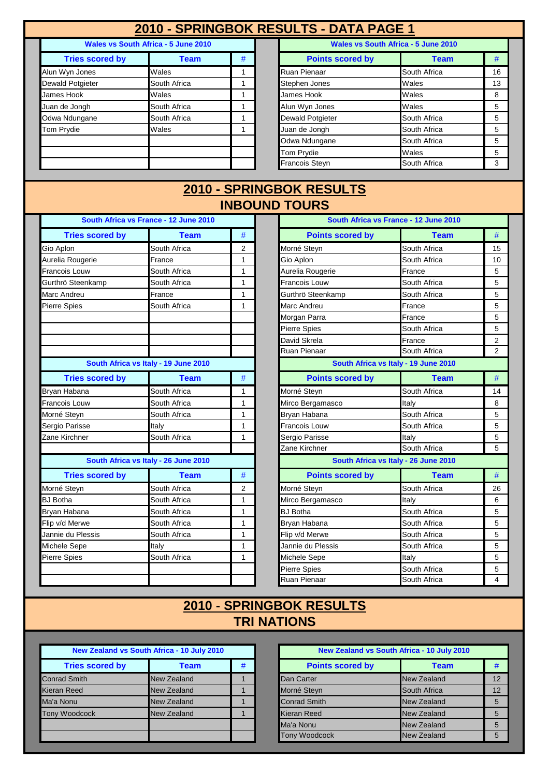## **2010 - SPRINGBOK RESULTS - DATA PAGE 1**

| Wales vs South Africa - 5 June 2010 |              |   |  |  |
|-------------------------------------|--------------|---|--|--|
| <b>Tries scored by</b>              | <b>Team</b>  | # |  |  |
| Alun Wyn Jones                      | Wales        |   |  |  |
| Dewald Potgieter                    | South Africa |   |  |  |
| James Hook                          | Wales        |   |  |  |
| Juan de Jongh                       | South Africa |   |  |  |
| Odwa Ndungane                       | South Africa |   |  |  |
| <b>Tom Prydie</b>                   | Wales        |   |  |  |
|                                     |              |   |  |  |
|                                     |              |   |  |  |
|                                     |              |   |  |  |

| <b>Wales vs South Africa - 5 June 2010</b> |              |   | Wales vs South Africa - 5 June 2010 |              |    |
|--------------------------------------------|--------------|---|-------------------------------------|--------------|----|
| <b>Tries scored by</b>                     | Team         | # | <b>Points scored by</b>             | <b>Team</b>  | #  |
| Alun Wyn Jones                             | Wales        |   | Ruan Pienaar                        | South Africa | 16 |
| Dewald Potgieter                           | South Africa |   | Stephen Jones                       | Wales        | 13 |
| James Hook                                 | Wales        |   | James Hook                          | Wales        | 8  |
| Juan de Jongh                              | South Africa |   | Alun Wyn Jones                      | Wales        | 5  |
| Odwa Ndungane                              | South Africa |   | <b>Dewald Potgieter</b>             | South Africa | 5  |
| Tom Prydie                                 | Wales        |   | Juan de Jongh                       | South Africa | 5  |
|                                            |              |   | Odwa Ndungane                       | South Africa | 5  |
|                                            |              |   | <b>Tom Prydie</b>                   | Wales        | 5  |
|                                            |              |   | <b>Francois Steyn</b>               | South Africa | 3  |

#### **INBOUND TOURS 2010 - SPRINGBOK RESULTS**

| South Africa vs France - 12 June 2010 |                                      |                |  |  |
|---------------------------------------|--------------------------------------|----------------|--|--|
| <b>Tries scored by</b>                | <b>Team</b>                          | #              |  |  |
| Gio Aplon                             | South Africa                         | 2              |  |  |
| Aurelia Rougerie                      | France                               | 1              |  |  |
| <b>Francois Louw</b>                  | South Africa                         | $\overline{1}$ |  |  |
| Gurthrö Steenkamp                     | South Africa                         | 1              |  |  |
| Marc Andreu                           | France                               | 1              |  |  |
| <b>Pierre Spies</b>                   | South Africa                         | 1              |  |  |
|                                       |                                      |                |  |  |
|                                       |                                      |                |  |  |
|                                       |                                      |                |  |  |
|                                       |                                      |                |  |  |
|                                       | South Africa vs Italy - 19 June 2010 |                |  |  |
| <b>Tries scored by</b>                | <b>Team</b>                          | #              |  |  |
| Bryan Habana                          | South Africa                         | 1              |  |  |
| <b>Francois Louw</b>                  | South Africa                         | 1              |  |  |
| Morné Steyn                           | South Africa                         | 1              |  |  |
| Sergio Parisse                        | Italy                                | 1              |  |  |
| Zane Kirchner                         | South Africa                         | 1              |  |  |
|                                       |                                      |                |  |  |
|                                       | South Africa vs Italy - 26 June 2010 |                |  |  |
| <b>Tries scored by</b>                | <b>Team</b>                          | #              |  |  |
| Morné Steyn                           | South Africa                         | 2              |  |  |
| <b>BJ</b> Botha                       | South Africa                         | 1              |  |  |
| Bryan Habana                          | South Africa                         | 1              |  |  |
| Flip v/d Merwe                        | South Africa                         | 1              |  |  |
| Jannie du Plessis                     | South Africa                         | 1              |  |  |
| Michele Sepe                          | Italy                                | 1              |  |  |
| Pierre Spies                          | South Africa                         | 1              |  |  |
|                                       |                                      |                |  |  |
|                                       |                                      |                |  |  |

|                                      | South Africa vs France - 12 June 2010 |              |                         | South Africa vs France - 12 June 2010 |      |
|--------------------------------------|---------------------------------------|--------------|-------------------------|---------------------------------------|------|
| <b>Tries scored by</b>               | <b>Team</b>                           | #            | <b>Points scored by</b> | <b>Team</b>                           | #    |
| Gio Aplon                            | South Africa                          | 2            | Morné Steyn             | South Africa                          | 15   |
| Aurelia Rougerie                     | France                                | 1            | Gio Aplon               | South Africa                          | 10   |
| Francois Louw                        | South Africa                          | 1            | Aurelia Rougerie        | France                                | 5    |
| Gurthrö Steenkamp                    | South Africa                          | 1            | Francois Louw           | South Africa                          | 5    |
| Marc Andreu                          | France                                | $\mathbf{1}$ | Gurthrö Steenkamp       | South Africa                          | 5    |
| <b>Pierre Spies</b>                  | South Africa                          | 1            | Marc Andreu             | France                                | 5    |
|                                      |                                       |              | Morgan Parra            | France                                | 5    |
|                                      |                                       |              | <b>Pierre Spies</b>     | South Africa                          | 5    |
|                                      |                                       |              | David Skrela            | France                                | 2    |
|                                      |                                       |              | Ruan Pienaar            | South Africa                          | 2    |
| South Africa vs Italy - 19 June 2010 |                                       |              |                         | South Africa vs Italy - 19 June 2010  |      |
| <b>Tries scored by</b>               | <b>Team</b>                           | #            | <b>Points scored by</b> | <b>Team</b>                           | #    |
| Bryan Habana                         | South Africa                          | 1            | Morné Steyn             | South Africa                          | 14   |
| Francois Louw                        | South Africa                          | 1            | Mirco Bergamasco        | Italy                                 | 8    |
| Morné Steyn                          | South Africa                          | $\mathbf{1}$ | Bryan Habana            | South Africa                          | 5    |
| Sergio Parisse                       | Italy                                 | 1            | Francois Louw           | South Africa                          | 5    |
| Zane Kirchner                        | South Africa                          | 1            | Sergio Parisse          | Italy                                 | 5    |
|                                      |                                       |              | Zane Kirchner           | South Africa                          | 5    |
|                                      | South Africa vs Italy - 26 June 2010  |              |                         | South Africa vs Italy - 26 June 2010  |      |
| <b>Tries scored by</b>               | <b>Team</b>                           | #            | <b>Points scored by</b> | <b>Team</b>                           | $\#$ |
| Morné Steyn                          | South Africa                          | 2            | Morné Steyn             | South Africa                          | 26   |
| <b>BJ</b> Botha                      | South Africa                          | 1            | Mirco Bergamasco        | Italy                                 | 6    |
| Bryan Habana                         | South Africa                          | $\mathbf{1}$ | <b>BJ</b> Botha         | South Africa                          | 5    |
| Flip v/d Merwe                       | South Africa                          | $\mathbf{1}$ | Bryan Habana            | South Africa                          | 5    |
| Jannie du Plessis                    | South Africa                          | 1            | Flip v/d Merwe          | South Africa                          | 5    |
| Michele Sepe                         | Italy                                 | 1            | Jannie du Plessis       | South Africa                          | 5    |
| Pierre Spies                         | South Africa                          | 1            | Michele Sepe            | Italv                                 | 5    |
|                                      |                                       |              | <b>Pierre Spies</b>     | South Africa                          | 5    |
|                                      |                                       |              | Ruan Pienaar            | South Africa                          | 4    |

### **TRI NATIONS 2010 - SPRINGBOK RESULTS**

| New Zealand vs South Africa - 10 July 2010 |                    |   |  |  |  |
|--------------------------------------------|--------------------|---|--|--|--|
| <b>Tries scored by</b>                     | Team               | # |  |  |  |
| <b>Conrad Smith</b>                        | <b>New Zealand</b> |   |  |  |  |
| <b>Kieran Reed</b>                         | <b>New Zealand</b> |   |  |  |  |
| Ma'a Nonu                                  | New Zealand        |   |  |  |  |
| <b>Tony Woodcock</b>                       | New Zealand        |   |  |  |  |
|                                            |                    |   |  |  |  |
|                                            |                    |   |  |  |  |

| New Zealand vs South Africa - 10 July 2010 |                    |   | New Zealand vs South Africa - 10 July 2010 |                    |    |
|--------------------------------------------|--------------------|---|--------------------------------------------|--------------------|----|
| <b>Tries scored by</b>                     | <b>Team</b>        | # | <b>Points scored by</b>                    | <b>Team</b>        | #  |
| Conrad Smith                               | <b>New Zealand</b> |   | Dan Carter                                 | <b>New Zealand</b> | 12 |
| Kieran Reed                                | <b>New Zealand</b> |   | Morné Steyn                                | South Africa       | 12 |
| Ma'a Nonu                                  | <b>New Zealand</b> |   | <b>Conrad Smith</b>                        | New Zealand        | 5  |
| <b>Tony Woodcock</b>                       | <b>New Zealand</b> |   | Kieran Reed                                | New Zealand        | 5  |
|                                            |                    |   | Ma'a Nonu                                  | New Zealand        | 5  |
|                                            |                    |   | Tony Woodcock                              | New Zealand        | 5  |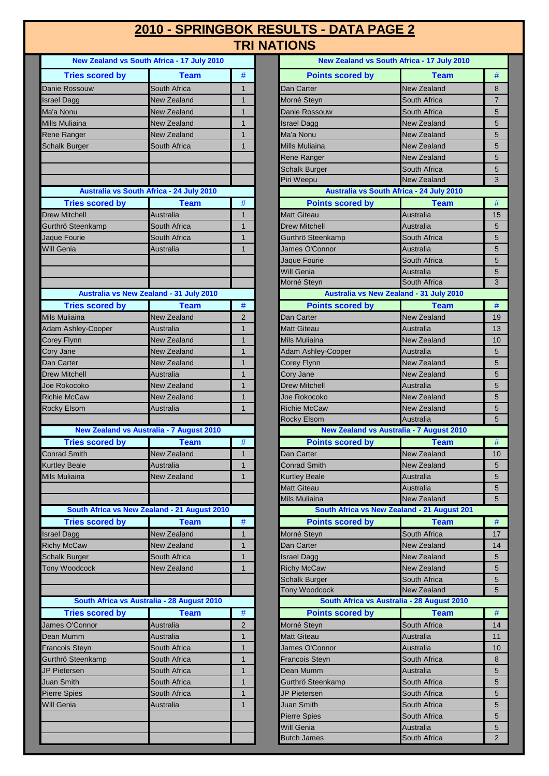### **2010 - SPRINGBOK RESULTS - DATA PAGE 2 TRI NATIONS**

|                        | New Zealand vs South Africa - 17 July 2010      |                |
|------------------------|-------------------------------------------------|----------------|
| <b>Tries scored by</b> | <b>Team</b>                                     | #              |
| <b>Danie Rossouw</b>   | South Africa                                    | 1              |
| <b>Israel Dagg</b>     | <b>New Zealand</b>                              | 1              |
| Ma'a Nonu              | <b>New Zealand</b>                              | 1              |
| Mills Muliaina         | New Zealand                                     | 1              |
| Rene Ranger            | <b>New Zealand</b>                              | 1              |
| <b>Schalk Burger</b>   | South Africa                                    | 1              |
|                        |                                                 |                |
|                        |                                                 |                |
|                        |                                                 |                |
|                        | Australia vs South Africa - 24 July 2010        |                |
| <b>Tries scored by</b> | <b>Team</b>                                     | #              |
| <b>Drew Mitchell</b>   | Australia                                       | 1              |
| Gurthrö Steenkamp      | South Africa                                    | 1              |
| Jaque Fourie           | South Africa                                    | 1              |
| <b>Will Genia</b>      | Australia                                       | 1              |
|                        |                                                 |                |
|                        |                                                 |                |
|                        |                                                 |                |
|                        | Australia vs New Zealand - 31 July 2010         |                |
| <b>Tries scored by</b> | <b>Team</b>                                     | #              |
| <b>Mils Muliaina</b>   | <b>New Zealand</b>                              | 2              |
| Adam Ashley-Cooper     | Australia                                       | 1              |
| <b>Corey Flynn</b>     | <b>New Zealand</b>                              | 1              |
| Cory Jane              | <b>New Zealand</b>                              | 1              |
| Dan Carter             | <b>New Zealand</b>                              | 1              |
| <b>Drew Mitchell</b>   | Australia                                       | 1              |
| Joe Rokocoko           | <b>New Zealand</b>                              | 1              |
| <b>Richie McCaw</b>    | <b>New Zealand</b>                              | 1              |
| <b>Rocky Elsom</b>     | Australia                                       | 1              |
|                        |                                                 |                |
|                        | <b>New Zealand vs Australia - 7 August 2010</b> |                |
| <b>Tries scored by</b> | <b>Team</b>                                     | #              |
| <b>Conrad Smith</b>    | <b>New Zealand</b>                              | 1              |
| <b>Kurtley Beale</b>   | <b>Australia</b>                                | 1              |
| Mils Muliaina          | New Zealand                                     | 1              |
|                        |                                                 |                |
|                        |                                                 |                |
|                        | South Africa vs New Zealand - 21 August 2010    |                |
| <b>Tries scored by</b> | Team                                            | #              |
| <b>Israel Dagg</b>     | <b>New Zealand</b>                              | 1              |
| <b>Richy McCaw</b>     | <b>New Zealand</b>                              | 1              |
| <b>Schalk Burger</b>   | South Africa                                    | 1              |
| Tony Woodcock          | New Zealand                                     | 1              |
|                        |                                                 |                |
|                        |                                                 |                |
|                        | South Africa vs Australia - 28 August 2010      |                |
| <b>Tries scored by</b> | <b>Team</b>                                     | #              |
| James O'Connor         | Australia                                       | 2              |
| Dean Mumm              | Australia                                       | 1              |
| <b>Francois Steyn</b>  | South Africa                                    | 1              |
| Gurthrö Steenkamp      | South Africa                                    | 1              |
| <b>JP Pietersen</b>    | South Africa                                    | $\overline{1}$ |
| <b>Juan Smith</b>      | South Africa                                    | 1              |
| <b>Pierre Spies</b>    | South Africa                                    | 1              |
| Will Genia             | Australia                                       | 1              |
|                        |                                                 |                |
|                        |                                                 |                |
|                        |                                                 |                |
|                        |                                                 |                |

|                                              | New Zealand vs South Africa - 17 July 2010   |                | New Zealand vs South Africa - 17 July 2010                   |                                          |                |
|----------------------------------------------|----------------------------------------------|----------------|--------------------------------------------------------------|------------------------------------------|----------------|
| <b>Tries scored by</b>                       | <b>Team</b>                                  | #              | <b>Points scored by</b>                                      | <b>Team</b>                              | #              |
| Danie Rossouw                                | South Africa                                 | $\mathbf{1}$   | Dan Carter                                                   | <b>New Zealand</b>                       | 8              |
| Israel Dagg                                  | New Zealand                                  | $\mathbf{1}$   | Morné Steyn                                                  | South Africa                             | $\overline{7}$ |
| Ma'a Nonu                                    | New Zealand                                  | $\overline{1}$ | Danie Rossouw                                                | South Africa                             | 5              |
| Mills Muliaina                               | New Zealand                                  | 1              | Israel Dagg                                                  | New Zealand                              | 5              |
| Rene Ranger                                  | New Zealand                                  | $\mathbf{1}$   | Ma'a Nonu                                                    | New Zealand                              | 5              |
| <b>Schalk Burger</b>                         | South Africa                                 | $\mathbf{1}$   | Mills Muliaina                                               | New Zealand                              | 5              |
|                                              |                                              |                | Rene Ranger                                                  | New Zealand                              | 5              |
|                                              |                                              |                | <b>Schalk Burger</b>                                         | South Africa                             | 5              |
|                                              |                                              |                | Piri Weepu                                                   | <b>New Zealand</b>                       | 3              |
|                                              | Australia vs South Africa - 24 July 2010     |                | Australia vs South Africa - 24 July 2010                     |                                          |                |
| <b>Tries scored by</b>                       | <b>Team</b>                                  | $\#$           | <b>Points scored by</b>                                      | <b>Team</b>                              | #              |
| <b>Drew Mitchell</b>                         | Australia                                    | 1              | <b>Matt Giteau</b>                                           | <b>Australia</b>                         | 15             |
| Gurthrö Steenkamp                            | South Africa                                 | $\mathbf{1}$   | <b>Drew Mitchell</b>                                         | Australia                                | 5              |
| Jaque Fourie                                 | South Africa                                 | $\mathbf{1}$   | Gurthrö Steenkamp                                            | South Africa                             | 5              |
| Will Genia                                   | Australia                                    | $\mathbf{1}$   | James O'Connor                                               | Australia                                | 5              |
|                                              |                                              |                | Jaque Fourie                                                 | South Africa                             | 5              |
|                                              |                                              |                | Will Genia                                                   | Australia                                | 5              |
|                                              |                                              |                | Morné Steyn                                                  | South Africa                             | 3              |
|                                              | Australia vs New Zealand - 31 July 2010      |                | Australia vs New Zealand - 31 July 2010                      |                                          |                |
| <b>Tries scored by</b>                       | Team                                         | $\#$           | <b>Points scored by</b>                                      | <b>Team</b>                              | $\#$           |
| Mils Muliaina                                | New Zealand                                  | $\overline{2}$ | Dan Carter                                                   | <b>New Zealand</b>                       | 19             |
| <b>Adam Ashley-Cooper</b>                    | Australia                                    | $\mathbf{1}$   | Matt Giteau                                                  | Australia                                | 13             |
| Corey Flynn                                  | New Zealand                                  | 1              | Mils Muliaina                                                | New Zealand                              | 10             |
| Cory Jane                                    | New Zealand                                  | $\mathbf{1}$   | <b>Adam Ashley-Cooper</b>                                    | Australia                                | 5              |
| Dan Carter                                   | New Zealand                                  | $\mathbf{1}$   | Corey Flynn                                                  | New Zealand                              | 5              |
| <b>Drew Mitchell</b>                         | Australia                                    | $\mathbf{1}$   | Cory Jane                                                    | New Zealand                              | 5              |
| Joe Rokocoko                                 | New Zealand                                  | $\mathbf{1}$   | <b>Drew Mitchell</b>                                         | Australia                                | 5              |
| <b>Richie McCaw</b>                          | New Zealand                                  | $\mathbf{1}$   | Joe Rokocoko                                                 | New Zealand                              | 5              |
| Rocky Elsom                                  | Australia                                    | $\mathbf{1}$   | <b>Richie McCaw</b>                                          | <b>New Zealand</b>                       | 5              |
|                                              |                                              |                | Rocky Elsom                                                  | Australia                                | 5              |
|                                              | New Zealand vs Australia - 7 August 2010     |                | <b>New Zealand vs Australia - 7 August 2010</b>              |                                          |                |
| <b>Tries scored by</b>                       | <b>Team</b>                                  | $\#$           | <b>Points scored by</b>                                      | <b>Team</b>                              | $\#$           |
| <b>Conrad Smith</b>                          | <b>New Zealand</b>                           | 1              | Dan Carter                                                   | <b>New Zealand</b>                       | 10             |
| <b>Kurtley Beale</b>                         | Australia                                    | $\mathbf{1}$   | Conrad Smith                                                 | <b>New Zealand</b>                       | 5              |
| Mils Muliaina                                | New Zealand                                  | 1              | <b>Kurtley Beale</b>                                         | Australia                                | 5              |
|                                              |                                              |                | <b>Matt Giteau</b>                                           | Australia                                | 5              |
|                                              | South Africa vs New Zealand - 21 August 2010 |                | Mils Muliaina<br>South Africa vs New Zealand - 21 August 201 | <b>New Zealand</b>                       | 5              |
|                                              |                                              |                |                                                              |                                          |                |
| <b>Tries scored by</b>                       | <b>Team</b>                                  | #              | <b>Points scored by</b>                                      | <b>Team</b>                              | $\#$           |
| <b>Israel Dagg</b>                           | <b>New Zealand</b>                           | 1              | Morné Steyn                                                  | South Africa                             | 17             |
| <b>Richy McCaw</b>                           | New Zealand                                  | 1              | Dan Carter                                                   | <b>New Zealand</b><br><b>New Zealand</b> | 14             |
| <b>Schalk Burger</b><br><b>Tony Woodcock</b> | South Africa<br>New Zealand                  | 1<br>1         | <b>Israel Dagg</b><br><b>Richy McCaw</b>                     | <b>New Zealand</b>                       | 5              |
|                                              |                                              |                |                                                              | South Africa                             | 5              |
|                                              |                                              |                | <b>Schalk Burger</b><br><b>Tony Woodcock</b>                 | <b>New Zealand</b>                       | 5<br>5         |
|                                              | South Africa vs Australia - 28 August 2010   |                | South Africa vs Australia - 28 August 2010                   |                                          |                |
| <b>Tries scored by</b>                       | <b>Team</b>                                  | $\#$           | <b>Points scored by</b>                                      | <b>Team</b>                              | $\#$           |
| James O'Connor                               | Australia                                    | $\overline{2}$ | Morné Steyn                                                  | South Africa                             | 14             |
| Dean Mumm                                    | Australia                                    | 1              | Matt Giteau                                                  | Australia                                | 11             |
| Francois Steyn                               | South Africa                                 | 1              | James O'Connor                                               | Australia                                | 10             |
| Gurthrö Steenkamp                            | South Africa                                 | 1              | <b>Francois Steyn</b>                                        | South Africa                             | 8              |
| JP Pietersen                                 | South Africa                                 | 1              | Dean Mumm                                                    | Australia                                | 5              |
| Juan Smith                                   | South Africa                                 | $\overline{1}$ | Gurthrö Steenkamp                                            | South Africa                             | 5              |
| <b>Pierre Spies</b>                          | South Africa                                 | 1              | JP Pietersen                                                 | South Africa                             | 5              |
| Will Genia                                   | Australia                                    | 1              | Juan Smith                                                   | South Africa                             | 5              |
|                                              |                                              |                | <b>Pierre Spies</b>                                          | South Africa                             | 5              |
|                                              |                                              |                | Will Genia                                                   | Australia                                | 5              |
|                                              |                                              |                | <b>Butch James</b>                                           | South Africa                             | $\overline{2}$ |
|                                              |                                              |                |                                                              |                                          |                |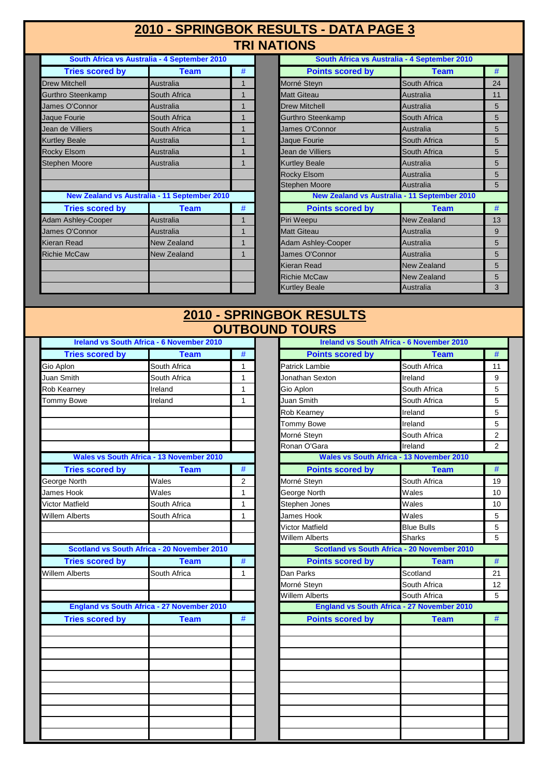#### **TRI NATIONS 2010 - SPRINGBOK RESULTS - DATA PAGE 3**

| South Africa vs Australia - 4 September 2010 |                                                     |   |  |  |
|----------------------------------------------|-----------------------------------------------------|---|--|--|
| <b>Tries scored by</b>                       | <b>Team</b>                                         | # |  |  |
| <b>Drew Mitchell</b>                         | Australia                                           | 1 |  |  |
| Gurthro Steenkamp                            | South Africa                                        | 1 |  |  |
| James O'Connor                               | Australia                                           | 1 |  |  |
| Jaque Fourie                                 | South Africa                                        | 1 |  |  |
| Jean de Villiers                             | South Africa                                        | 1 |  |  |
| <b>Kurtley Beale</b>                         | Australia                                           | 1 |  |  |
| <b>Rocky Elsom</b>                           | Australia                                           | 1 |  |  |
| <b>Stephen Moore</b>                         | <b>Australia</b>                                    | 1 |  |  |
|                                              |                                                     |   |  |  |
|                                              |                                                     |   |  |  |
|                                              | <b>New Zealand vs Australia - 11 September 2010</b> |   |  |  |
| <b>Tries scored by</b>                       | <b>Team</b>                                         | # |  |  |
| <b>Adam Ashley-Cooper</b>                    | Australia                                           | 1 |  |  |
| James O'Connor                               | Australia                                           | 1 |  |  |
| Kieran Read                                  | <b>New Zealand</b>                                  | 1 |  |  |
| <b>Richie McCaw</b>                          | <b>New Zealand</b>                                  | 1 |  |  |
|                                              |                                                     |   |  |  |
|                                              |                                                     |   |  |  |
|                                              |                                                     |   |  |  |
|                                              |                                                     |   |  |  |

| South Africa vs Australia - 4 September 2010 |                                              |   | South Africa vs Australia - 4 September 2010 |                    |    |
|----------------------------------------------|----------------------------------------------|---|----------------------------------------------|--------------------|----|
| <b>Tries scored by</b>                       | <b>Team</b>                                  | # | <b>Points scored by</b>                      | <b>Team</b>        | #  |
| <b>Drew Mitchell</b>                         | Australia                                    |   | Morné Steyn                                  | South Africa       | 24 |
| Gurthro Steenkamp                            | South Africa                                 | 1 | <b>Matt Giteau</b>                           | Australia          | 11 |
| James O'Connor                               | Australia                                    |   | <b>Drew Mitchell</b>                         | Australia          | 5  |
| Jaque Fourie                                 | South Africa                                 |   | Gurthro Steenkamp                            | South Africa       | 5  |
| Jean de Villiers                             | South Africa                                 | 1 | James O'Connor                               | Australia          | 5  |
| <b>Kurtley Beale</b>                         | Australia                                    | 1 | Jaque Fourie                                 | South Africa       | 5  |
| Rocky Elsom                                  | Australia                                    |   | Jean de Villiers                             | South Africa       | 5  |
| <b>Stephen Moore</b>                         | Australia                                    | 1 | <b>Kurtley Beale</b>                         | Australia          | 5  |
|                                              |                                              |   | Rocky Elsom                                  | Australia          | 5  |
|                                              |                                              |   | <b>Stephen Moore</b>                         | Australia          | 5  |
|                                              | New Zealand vs Australia - 11 September 2010 |   | New Zealand vs Australia - 11 September 2010 |                    |    |
| <b>Tries scored by</b>                       | <b>Team</b>                                  | # | <b>Points scored by</b>                      | <b>Team</b>        | #  |
| Adam Ashley-Cooper                           | Australia                                    |   | Piri Weepu                                   | New Zealand        | 13 |
| James O'Connor                               | Australia                                    |   | <b>Matt Giteau</b>                           | Australia          | 9  |
| Kieran Read                                  | New Zealand                                  |   | <b>Adam Ashley-Cooper</b>                    | Australia          | 5  |
| <b>Richie McCaw</b>                          | <b>New Zealand</b>                           |   | James O'Connor                               | Australia          | 5  |
|                                              |                                              |   | Kieran Read                                  | New Zealand        | 5  |
|                                              |                                              |   | <b>Richie McCaw</b>                          | <b>New Zealand</b> | 5  |
|                                              |                                              |   | <b>Kurtley Beale</b>                         | Australia          | 3  |
|                                              |                                              |   |                                              |                    |    |

#### **OUTBOUND TOURS 2010 - SPRINGBOK RESULTS**

| <b>Ireland vs South Africa - 6 November 2010</b> |                                                    |                |  |  |
|--------------------------------------------------|----------------------------------------------------|----------------|--|--|
| <b>Tries scored by</b>                           | <b>Team</b>                                        | #              |  |  |
| Gio Aplon                                        | South Africa                                       | 1              |  |  |
| Juan Smith                                       | South Africa                                       | 1              |  |  |
| Rob Kearney                                      | Ireland                                            | 1              |  |  |
| Tommy Bowe                                       | Ireland                                            | 1              |  |  |
|                                                  |                                                    |                |  |  |
|                                                  |                                                    |                |  |  |
|                                                  |                                                    |                |  |  |
|                                                  |                                                    |                |  |  |
|                                                  | <b>Wales vs South Africa - 13 November 2010</b>    |                |  |  |
| <b>Tries scored by</b>                           | <b>Team</b>                                        | #              |  |  |
| George North                                     | Wales                                              | 2              |  |  |
| <b>James Hook</b>                                | Wales                                              | $\overline{1}$ |  |  |
| Victor Matfield                                  | South Africa                                       | $\overline{1}$ |  |  |
| Willem Alberts                                   | South Africa                                       | 1              |  |  |
|                                                  |                                                    |                |  |  |
|                                                  |                                                    |                |  |  |
|                                                  | <b>Scotland vs South Africa - 20 November 2010</b> |                |  |  |
| <b>Tries scored by</b>                           | <b>Team</b>                                        | #              |  |  |
| Willem Alberts                                   | South Africa                                       | 1              |  |  |
|                                                  |                                                    |                |  |  |
|                                                  |                                                    |                |  |  |
|                                                  | <b>England vs South Africa - 27 November 2010</b>  |                |  |  |
| <b>Tries scored by</b>                           | <b>Team</b>                                        | #              |  |  |
|                                                  |                                                    |                |  |  |
|                                                  |                                                    |                |  |  |
|                                                  |                                                    |                |  |  |
|                                                  |                                                    |                |  |  |
|                                                  |                                                    |                |  |  |
|                                                  |                                                    |                |  |  |
|                                                  |                                                    |                |  |  |
|                                                  |                                                    |                |  |  |
|                                                  |                                                    |                |  |  |
|                                                  |                                                    |                |  |  |

|                        | <b>Ireland vs South Africa - 6 November 2010</b>  |                |                         | Ireland vs South Africa - 6 November 2010         |                   |
|------------------------|---------------------------------------------------|----------------|-------------------------|---------------------------------------------------|-------------------|
| <b>Tries scored by</b> | <b>Team</b>                                       | $\#$           | <b>Points scored by</b> | <b>Team</b>                                       | $\#$              |
| Gio Aplon              | South Africa                                      | 1              | Patrick Lambie          | South Africa                                      | 11                |
| Juan Smith             | South Africa                                      | 1              | Jonathan Sexton         | Ireland                                           | 9                 |
| Rob Kearney            | Ireland                                           | $\mathbf{1}$   | Gio Aplon               | South Africa                                      | 5                 |
| Tommy Bowe             | Ireland                                           | 1              | <b>Juan Smith</b>       | South Africa                                      | 5                 |
|                        |                                                   |                | Rob Kearney             | Ireland                                           | 5                 |
|                        |                                                   |                | Tommy Bowe              | Ireland                                           | 5                 |
|                        |                                                   |                | Morné Steyn             | South Africa                                      | $\overline{2}$    |
|                        |                                                   |                | Ronan O'Gara            | Ireland                                           | $\overline{2}$    |
|                        | <b>Wales vs South Africa - 13 November 2010</b>   |                |                         | <b>Wales vs South Africa - 13 November 2010</b>   |                   |
| <b>Tries scored by</b> | <b>Team</b>                                       | #              | <b>Points scored by</b> | <b>Team</b>                                       | $\#$              |
| George North           | Wales                                             | $\overline{2}$ | Morné Steyn             | South Africa                                      | 19                |
| James Hook             | Wales                                             | 1              | George North            | Wales                                             | 10                |
| <b>Victor Matfield</b> | South Africa                                      | 1              | Stephen Jones           | Wales                                             | 10                |
| <b>Willem Alberts</b>  | South Africa                                      | 1              | James Hook              | Wales                                             | 5                 |
|                        |                                                   |                | Victor Matfield         | <b>Blue Bulls</b>                                 | 5                 |
|                        |                                                   |                | <b>Willem Alberts</b>   | <b>Sharks</b>                                     | 5                 |
|                        | Scotland vs South Africa - 20 November 2010       |                |                         | Scotland vs South Africa - 20 November 2010       |                   |
| <b>Tries scored by</b> | <b>Team</b>                                       | #              | <b>Points scored by</b> | <b>Team</b>                                       | $\#$              |
| <b>Willem Alberts</b>  | South Africa                                      | 1              | Dan Parks               | Scotland                                          | 21                |
|                        |                                                   |                | Morné Steyn             | South Africa                                      | $12 \overline{ }$ |
|                        |                                                   |                | Willem Alberts          | South Africa                                      | 5                 |
|                        | <b>England vs South Africa - 27 November 2010</b> |                |                         | <b>England vs South Africa - 27 November 2010</b> |                   |
| <b>Tries scored by</b> | <b>Team</b>                                       | #              | <b>Points scored by</b> | <b>Team</b>                                       | $\#$              |
|                        |                                                   |                |                         |                                                   |                   |
|                        |                                                   |                |                         |                                                   |                   |
|                        |                                                   |                |                         |                                                   |                   |
|                        |                                                   |                |                         |                                                   |                   |
|                        |                                                   |                |                         |                                                   |                   |
|                        |                                                   |                |                         |                                                   |                   |
|                        |                                                   |                |                         |                                                   |                   |
|                        |                                                   |                |                         |                                                   |                   |
|                        |                                                   |                |                         |                                                   |                   |
|                        |                                                   |                |                         |                                                   |                   |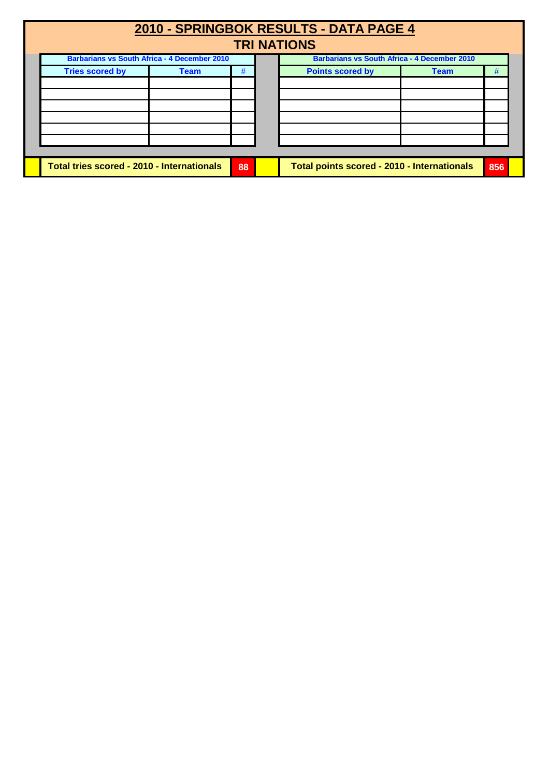| 2010 - SPRINGBOK RESULTS - DATA PAGE 4<br><b>TRI NATIONS</b> |                                                     |             |    |                                                     |                                             |             |     |  |
|--------------------------------------------------------------|-----------------------------------------------------|-------------|----|-----------------------------------------------------|---------------------------------------------|-------------|-----|--|
|                                                              | <b>Barbarians vs South Africa - 4 December 2010</b> |             |    | <b>Barbarians vs South Africa - 4 December 2010</b> |                                             |             |     |  |
|                                                              | <b>Tries scored by</b>                              | <b>Team</b> | #  |                                                     | <b>Points scored by</b>                     | <b>Team</b> | #   |  |
|                                                              |                                                     |             |    |                                                     |                                             |             |     |  |
|                                                              |                                                     |             |    |                                                     |                                             |             |     |  |
|                                                              |                                                     |             |    |                                                     |                                             |             |     |  |
|                                                              |                                                     |             |    |                                                     |                                             |             |     |  |
|                                                              |                                                     |             |    |                                                     |                                             |             |     |  |
|                                                              | Total tries scored - 2010 - Internationals          |             | 88 |                                                     | Total points scored - 2010 - Internationals |             | 856 |  |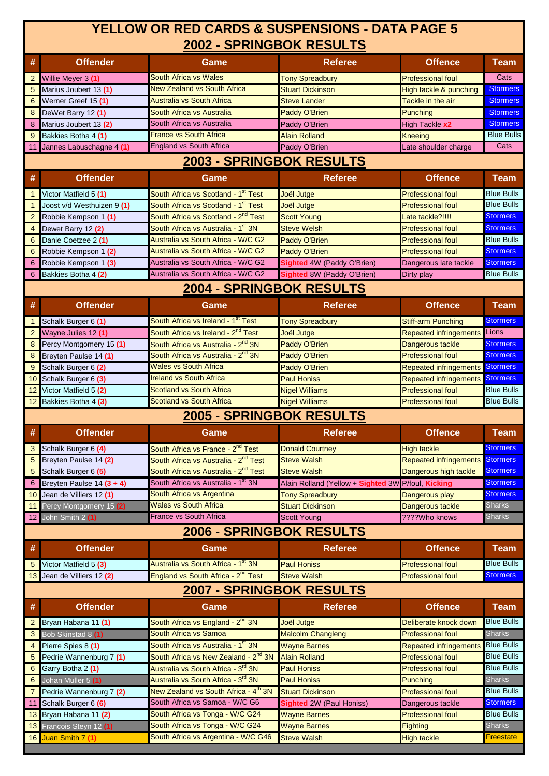# **2002 - SPRINGBOK RESULTS YELLOW OR RED CARDS & SUSPENSIONS - DATA PAGE 5**

|                 | 2002 - SPRINGBOK RESULTS   |                                                  |                                                    |                                          |                   |  |  |  |  |
|-----------------|----------------------------|--------------------------------------------------|----------------------------------------------------|------------------------------------------|-------------------|--|--|--|--|
| #               | <b>Offender</b><br>Game    |                                                  | <b>Referee</b>                                     | <b>Offence</b>                           | <b>Team</b>       |  |  |  |  |
| $\overline{2}$  | Willie Meyer 3 (1)         | <b>South Africa vs Wales</b>                     | <b>Tony Spreadbury</b>                             | <b>Professional foul</b>                 | Cats              |  |  |  |  |
| 5               | Marius Joubert 13 (1)      | <b>New Zealand vs South Africa</b>               | <b>Stuart Dickinson</b>                            | High tackle & punching                   | <b>Stormers</b>   |  |  |  |  |
| 6               | Werner Greef 15 (1)        | <b>Australia vs South Africa</b>                 | <b>Steve Lander</b>                                | Tackle in the air                        | <b>Stormers</b>   |  |  |  |  |
| 8               | DeWet Barry 12 (1)         | South Africa vs Australia                        | <b>Paddy O'Brien</b>                               | Punching                                 | <b>Stormers</b>   |  |  |  |  |
| 8               | Marius Joubert 13 (2)      | South Africa vs Australia                        | Paddy O'Brien                                      | High Tackle x2                           | <b>Stormers</b>   |  |  |  |  |
| 9               | Bakkies Botha 4 (1)        | <b>France vs South Africa</b>                    | <b>Alain Rolland</b>                               | <b>Kneeing</b>                           | <b>Blue Bulls</b> |  |  |  |  |
| 11              | Jannes Labuschagne 4 (1)   | <b>England vs South Africa</b>                   | Paddy O'Brien                                      | Late shoulder charge                     | Cats              |  |  |  |  |
|                 |                            | 2003 - SPRINGBOK RESULTS                         |                                                    |                                          |                   |  |  |  |  |
| #               | <b>Offender</b>            | Game                                             | <b>Referee</b>                                     | <b>Offence</b>                           | <b>Team</b>       |  |  |  |  |
| $\mathbf{1}$    | Victor Matfield 5 (1)      | South Africa vs Scotland - 1 <sup>st</sup> Test  | Joël Jutge                                         | <b>Professional foul</b>                 | <b>Blue Bulls</b> |  |  |  |  |
| $\mathbf{1}$    | Joost v/d Westhuizen 9 (1) | South Africa vs Scotland - 1 <sup>st</sup> Test  | Joël Jutge                                         | <b>Professional foul</b>                 | <b>Blue Bulls</b> |  |  |  |  |
| $\overline{2}$  | Robbie Kempson 1 (1)       | South Africa vs Scotland - 2 <sup>nd</sup> Test  | <b>Scott Young</b>                                 | Late tackle?!!!!                         | <b>Stormers</b>   |  |  |  |  |
| 4               | Dewet Barry 12 (2)         | South Africa vs Australia - 1st 3N               | <b>Steve Welsh</b>                                 | <b>Professional foul</b>                 | <b>Stormers</b>   |  |  |  |  |
| 6               | Danie Coetzee 2 (1)        | Australia vs South Africa - W/C G2               | Paddy O'Brien                                      | <b>Professional foul</b>                 | <b>Blue Bulls</b> |  |  |  |  |
| 6               | Robbie Kempson 1 (2)       | Australia vs South Africa - W/C G2               | <b>Paddy O'Brien</b>                               | <b>Professional foul</b>                 | <b>Stormers</b>   |  |  |  |  |
| 6               | Robbie Kempson 1 (3)       | Australia vs South Africa - W/C G2               | <b>Sighted 4W (Paddy O'Brien)</b>                  | Dangerous late tackle                    | <b>Stormers</b>   |  |  |  |  |
| 6               | Bakkies Botha 4 (2)        | Australia vs South Africa - W/C G2               | Sighted 8W (Paddy O'Brien)                         | Dirty play                               | <b>Blue Bulls</b> |  |  |  |  |
|                 |                            | 2004 - SPRINGBOK RESULTS                         |                                                    |                                          |                   |  |  |  |  |
| #               | <b>Offender</b>            | Game                                             | <b>Referee</b>                                     | <b>Offence</b>                           | <b>Team</b>       |  |  |  |  |
|                 |                            |                                                  |                                                    |                                          |                   |  |  |  |  |
| $\mathbf{1}$    | Schalk Burger 6 (1)        | South Africa vs Ireland - 1 <sup>st</sup> Test   | <b>Tony Spreadbury</b>                             | <b>Stiff-arm Punching</b>                | <b>Stormers</b>   |  |  |  |  |
| $\overline{2}$  | Wayne Julies 12 (1)        | South Africa vs Ireland - 2 <sup>nd</sup> Test   | Joël Jutge                                         | <b>Repeated infringements</b>            | Lions             |  |  |  |  |
| 8               | Percy Montgomery 15 (1)    | South Africa vs Australia - 2 <sup>nd</sup> 3N   | <b>Paddy O'Brien</b>                               | Dangerous tackle                         | <b>Stormers</b>   |  |  |  |  |
| 8               | Breyten Paulse 14 (1)      | South Africa vs Australia - 2 <sup>nd</sup> 3N   | <b>Paddy O'Brien</b>                               | <b>Professional foul</b>                 | <b>Stormers</b>   |  |  |  |  |
| 9               | Schalk Burger 6 (2)        | <b>Wales vs South Africa</b>                     | <b>Paddy O'Brien</b>                               | <b>Repeated infringements Stormers</b>   |                   |  |  |  |  |
|                 | 10 Schalk Burger 6 (3)     | <b>Ireland vs South Africa</b>                   | <b>Paul Honiss</b>                                 | <b>Repeated infringements</b>            | <b>Stormers</b>   |  |  |  |  |
| 12              | Victor Matfield 5 (2)      | <b>Scotland vs South Africa</b>                  | <b>Nigel Williams</b>                              | <b>Professional foul</b>                 | <b>Blue Bulls</b> |  |  |  |  |
|                 | 12 Bakkies Botha 4 (3)     | <b>Scotland vs South Africa</b>                  | <b>Nigel Williams</b>                              | <b>Professional foul</b>                 | <b>Blue Bulls</b> |  |  |  |  |
|                 |                            | 2005 - SPRINGBOK RESULTS                         |                                                    |                                          |                   |  |  |  |  |
| #               | <b>Offender</b>            | Game                                             | <b>Referee</b>                                     | <b>Offence</b>                           | <b>Team</b>       |  |  |  |  |
| 3               | Schalk Burger 6 (4)        | South Africa vs France - 2 <sup>nd</sup> Test    | <b>Donald Courtney</b>                             | <b>High tackle</b>                       | <b>Stormers</b>   |  |  |  |  |
| 5               | Breyten Paulse 14 (2)      | South Africa vs Australia - 2 <sup>nd</sup> Test | <b>Steve Walsh</b>                                 | <b>Repeated infringements Stormers</b>   |                   |  |  |  |  |
| 5               | Schalk Burger 6 (5)        | South Africa vs Australia - 2 <sup>nd</sup> Test | <b>Steve Walsh</b>                                 | Dangerous high tackle                    | <b>Stormers</b>   |  |  |  |  |
| 6               | Breyten Paulse 14 (3 + 4)  | South Africa vs Australia - 1st 3N               | Alain Rolland (Yellow + Sighted 3W P/foul, Kicking |                                          | <b>Stormers</b>   |  |  |  |  |
|                 | 10 Jean de Villiers 12 (1) | South Africa vs Argentina                        | <b>Tony Spreadbury</b>                             | Dangerous play                           | <b>Stormers</b>   |  |  |  |  |
|                 | 11 Percy Montgomery 15 (2) | <b>Wales vs South Africa</b>                     | <b>Stuart Dickinson</b>                            | Dangerous tackle                         | <b>Sharks</b>     |  |  |  |  |
|                 | 12 John Smith 2 (1)        | <b>France vs South Africa</b>                    | <b>Scott Young</b>                                 | ????Who knows                            | <b>Sharks</b>     |  |  |  |  |
|                 |                            | 2006 - SPRINGBOK RESULTS                         |                                                    |                                          |                   |  |  |  |  |
| #               | <b>Offender</b>            | Game                                             | <b>Referee</b>                                     | <b>Offence</b>                           | <b>Team</b>       |  |  |  |  |
| 5               | Victor Matfield 5 (3)      | Australia vs South Africa - 1 <sup>st</sup> 3N   | <b>Paul Honiss</b>                                 | <b>Professional foul</b>                 | <b>Blue Bulls</b> |  |  |  |  |
|                 | 13 Jean de Villiers 12 (2) | England vs South Africa - 2 <sup>nd</sup> Test   | <b>Steve Walsh</b>                                 | <b>Professional foul</b>                 | <b>Stormers</b>   |  |  |  |  |
|                 |                            | 2007 - SPRINGBOK RESULTS                         |                                                    |                                          |                   |  |  |  |  |
| #               | <b>Offender</b>            | Game                                             | <b>Referee</b>                                     | <b>Offence</b>                           | <b>Team</b>       |  |  |  |  |
| $\overline{2}$  | Bryan Habana 11 (1)        | South Africa vs England - 2 <sup>nd</sup> 3N     | Joël Jutge                                         | Deliberate knock down                    | <b>Blue Bulls</b> |  |  |  |  |
| 3               | Bob Skinstad 8 (1)         | South Africa vs Samoa                            | <b>Malcolm Changleng</b>                           | <b>Professional foul</b>                 | <b>Sharks</b>     |  |  |  |  |
| 4               | Pierre Spies 8 (1)         | South Africa vs Australia - 1st 3N               | <b>Wayne Barnes</b>                                | <b>Repeated infringements Blue Bulls</b> |                   |  |  |  |  |
| $5\phantom{.0}$ | Pedrie Wannenburg 7 (1)    | South Africa vs New Zealand - 2 <sup>nd</sup> 3N | <b>Alain Rolland</b>                               | <b>Professional foul</b>                 | <b>Blue Bulls</b> |  |  |  |  |
| 6               | Garry Botha 2 (1)          | Australia vs South Africa - 3 <sup>rd</sup> 3N   | <b>Paul Honiss</b>                                 | <b>Professional foul</b>                 | <b>Blue Bulls</b> |  |  |  |  |
| 6               | Johan Muller 5 (1)         | Australia vs South Africa - 3 <sup>rd</sup> 3N   | <b>Paul Honiss</b>                                 | Punching                                 | <b>Sharks</b>     |  |  |  |  |
| $\overline{7}$  | Pedrie Wannenburg 7 (2)    | New Zealand vs South Africa - 4 <sup>th</sup> 3N | <b>Stuart Dickinson</b>                            | <b>Professional foul</b>                 | <b>Blue Bulls</b> |  |  |  |  |
| 11              | Schalk Burger 6 (6)        | South Africa vs Samoa - W/C G6                   | Sighted 2W (Paul Honiss)                           | Dangerous tackle                         | <b>Stormers</b>   |  |  |  |  |
|                 | 13 Bryan Habana 11 (2)     | South Africa vs Tonga - W/C G24                  | <b>Wayne Barnes</b>                                | <b>Professional foul</b>                 | <b>Blue Bulls</b> |  |  |  |  |
|                 | 13 Francois Steyn 12 (1)   | South Africa vs Tonga - W/C G24                  | <b>Wayne Barnes</b>                                | <b>Fighting</b>                          | <b>Sharks</b>     |  |  |  |  |
|                 | 16 Juan Smith 7 (1)        | South Africa vs Argentina - W/C G46              | <b>Steve Walsh</b>                                 | <b>High tackle</b>                       | Freestate         |  |  |  |  |
|                 |                            |                                                  |                                                    |                                          |                   |  |  |  |  |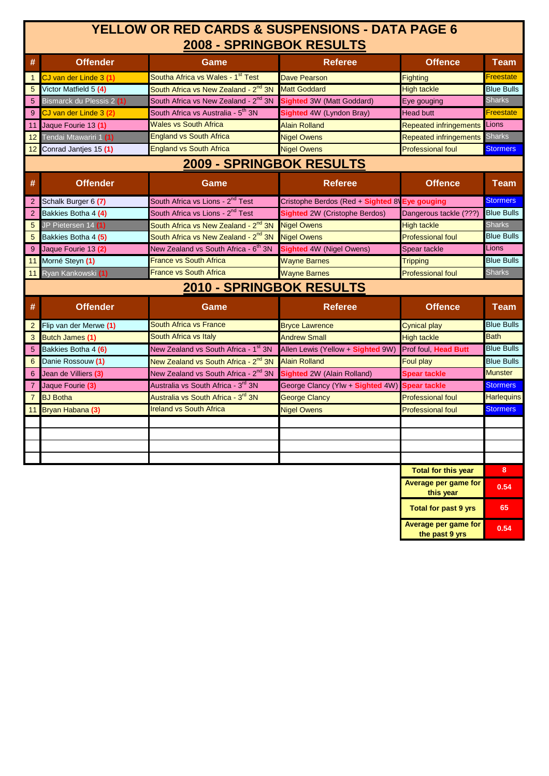### **2008 - SPRINGBOK RESULTS YELLOW OR RED CARDS & SUSPENSIONS - DATA PAGE 6**

| #               | <b>Offender</b>           | Game                                             | <b>Referee</b>                       | <b>Offence</b>                | <b>Team</b>       |
|-----------------|---------------------------|--------------------------------------------------|--------------------------------------|-------------------------------|-------------------|
| $\mathbf{1}$    | CJ van der Linde 3 (1)    | Southa Africa vs Wales - 1st Test                | <b>Dave Pearson</b>                  | Fighting                      | <b>Freestate</b>  |
| $5\phantom{.0}$ | Victor Matfield 5 (4)     | South Africa vs New Zealand - 2 <sup>nd</sup> 3N | <b>Matt Goddard</b>                  | <b>High tackle</b>            | <b>Blue Bulls</b> |
| 5 <sup>5</sup>  | Bismarck du Plessis 2 (1) | South Africa vs New Zealand - 2 <sup>nd</sup> 3N | <b>Sighted 3W (Matt Goddard)</b>     | Eye gouging                   | <b>Sharks</b>     |
| 9               | CJ van der Linde 3 (2)    | South Africa vs Australia - 5 <sup>th</sup> 3N   | Sighted 4W (Lyndon Bray)             | <b>Head butt</b>              | <b>Freestate</b>  |
| 11              | Jaque Fourie 13 (1)       | <b>Wales vs South Africa</b>                     | <b>Alain Rolland</b>                 | <b>Repeated infringements</b> | Lions             |
| 12 <sub>2</sub> | Tendai Mtawariri 1 (1)    | <b>England vs South Africa</b>                   | <b>Nigel Owens</b>                   | <b>Repeated infringements</b> | <b>Sharks</b>     |
| 12 <sup>2</sup> | Conrad Jantjes 15 (1)     | <b>England vs South Africa</b>                   | <b>Nigel Owens</b>                   | <b>Professional foul</b>      | <b>Stormers</b>   |
|                 |                           | 2009 - SPRINGBOK RESULTS                         |                                      |                               |                   |
| #               | <b>Offender</b>           | Game                                             | <b>Referee</b>                       | <b>Offence</b>                | <b>Team</b>       |
| $\overline{2}$  | Schalk Burger 6 (7)       | South Africa vs Lions - 2 <sup>nd</sup> Test     | Cristophe Berdos (Red + Sighted 8)   | <b>Eye gouging</b>            | <b>Stormers</b>   |
| 2               | Bakkies Botha 4 (4)       | South Africa vs Lions - 2 <sup>nd</sup> Test     | <b>Sighted</b> 2W (Cristophe Berdos) | Dangerous tackle (???)        | <b>Blue Bulls</b> |
| $5\phantom{.0}$ | JP Pietersen 14 (1)       | South Africa vs New Zealand - 2 <sup>nd</sup> 3N | <b>Nigel Owens</b>                   | <b>High tackle</b>            | <b>Sharks</b>     |
| $5\phantom{.0}$ | Bakkies Botha 4 (5)       | South Africa vs New Zealand - 2 <sup>nd</sup> 3N | <b>Nigel Owens</b>                   | <b>Professional foul</b>      | <b>Blue Bulls</b> |
| 9               | Jaque Fourie 13 (2)       | New Zealand vs South Africa - 6 <sup>th</sup> 3N | Sighted 4W (Nigel Owens)             | Spear tackle                  | Lions             |
| 11              | Morné Steyn (1)           | <b>France vs South Africa</b>                    | <b>Wayne Barnes</b>                  | <b>Tripping</b>               | <b>Blue Bulls</b> |
| 11              | Ryan Kankowski (1)        | <b>France vs South Africa</b>                    | <b>Wayne Barnes</b>                  | <b>Professional foul</b>      | <b>Sharks</b>     |
|                 |                           | 2010 - SPRINGBOK RESULTS                         |                                      |                               |                   |
| #               | <b>Offender</b>           | Game                                             | <b>Referee</b>                       | <b>Offence</b>                | <b>Team</b>       |
| $\overline{2}$  | Flip van der Merwe (1)    | <b>South Africa vs France</b>                    | <b>Bryce Lawrence</b>                | <b>Cynical play</b>           | <b>Blue Bulls</b> |
| 3               | <b>Butch James (1)</b>    | South Africa vs Italy                            | <b>Andrew Small</b>                  | <b>High tackle</b>            | <b>Bath</b>       |
| 5               | Bakkies Botha 4 (6)       | New Zealand vs South Africa - 1st 3N             | Allen Lewis (Yellow + Sighted 9W)    | Prof foul, Head Butt          | <b>Blue Bulls</b> |
| 6               | Danie Rossouw (1)         | New Zealand vs South Africa - 2 <sup>nd</sup> 3N | <b>Alain Rolland</b>                 | Foul play                     | <b>Blue Bulls</b> |
| $6\overline{6}$ | Jean de Villiers (3)      | New Zealand vs South Africa - 2 <sup>nd</sup> 3N | <b>Sighted</b> 2W (Alain Rolland)    | <b>Spear tackle</b>           | <b>Munster</b>    |
| $\overline{7}$  | Jaque Fourie (3)          | Australia vs South Africa - 3rd 3N               | George Clancy (Ylw + Sighted 4W)     | <b>Spear tackle</b>           | <b>Stormers</b>   |
| $\overline{7}$  | <b>BJ</b> Botha           | Australia vs South Africa - 3rd 3N               | <b>George Clancy</b>                 | <b>Professional foul</b>      | <b>Harlequins</b> |
|                 | 11 Bryan Habana (3)       | <b>Ireland vs South Africa</b>                   | <b>Nigel Owens</b>                   | <b>Professional foul</b>      | <b>Stormers</b>   |
|                 |                           |                                                  |                                      |                               |                   |
|                 |                           |                                                  |                                      |                               |                   |
|                 |                           |                                                  |                                      |                               |                   |
|                 |                           |                                                  |                                      |                               |                   |
|                 |                           |                                                  |                                      | <b>Total for this year</b>    | 8                 |
|                 |                           |                                                  |                                      | Average per game for          | C E               |

| Average per game for<br>this year      | 0.54 |
|----------------------------------------|------|
| <b>Total for past 9 yrs</b>            | 65   |
| Average per game for<br>the past 9 yrs | 0.54 |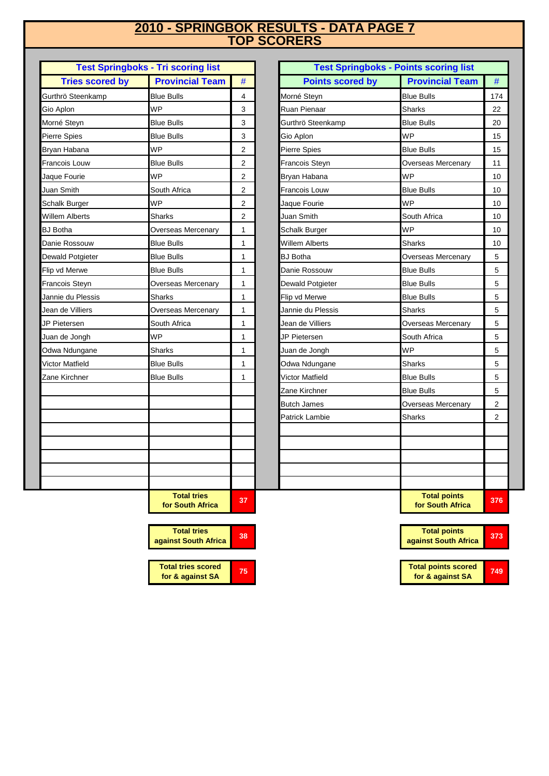#### **TOP SCORERS 2010 - SPRINGBOK RESULTS - DATA PAGE 7**

| <b>Test Springboks - Tri scoring list</b> |                                        |                |  |  |
|-------------------------------------------|----------------------------------------|----------------|--|--|
| <b>Tries scored by</b>                    | <b>Provincial Team</b>                 | #              |  |  |
| Gurthrö Steenkamp                         | <b>Blue Bulls</b>                      | 4              |  |  |
| Gio Aplon                                 | <b>WP</b>                              | 3              |  |  |
| Morné Steyn                               | <b>Blue Bulls</b>                      | 3              |  |  |
| Pierre Spies                              | <b>Blue Bulls</b>                      | 3              |  |  |
| Bryan Habana                              | <b>WP</b>                              | $\overline{2}$ |  |  |
| Francois Louw                             | <b>Blue Bulls</b>                      | $\overline{2}$ |  |  |
| Jaque Fourie                              | <b>WP</b>                              | 2              |  |  |
| Juan Smith                                | South Africa                           | 2              |  |  |
| Schalk Burger                             | <b>WP</b>                              | 2              |  |  |
| Willem Alberts                            | <b>Sharks</b>                          | 2              |  |  |
| <b>BJ</b> Botha                           | Overseas Mercenary                     | 1              |  |  |
| Danie Rossouw                             | <b>Blue Bulls</b>                      | 1              |  |  |
| Dewald Potgieter                          | <b>Blue Bulls</b>                      | 1              |  |  |
| Flip vd Merwe                             | <b>Blue Bulls</b>                      | 1              |  |  |
| Francois Steyn                            | Overseas Mercenary                     | 1              |  |  |
| Jannie du Plessis                         | Sharks                                 | 1              |  |  |
| Jean de Villiers                          | Overseas Mercenary                     | 1              |  |  |
| JP Pietersen                              | South Africa                           | 1              |  |  |
| Juan de Jongh                             | <b>WP</b>                              | 1              |  |  |
| Odwa Ndungane                             | Sharks                                 | 1              |  |  |
| Victor Matfield                           | <b>Blue Bulls</b>                      | 1              |  |  |
| Zane Kirchner                             | <b>Blue Bulls</b>                      | 1              |  |  |
|                                           |                                        |                |  |  |
|                                           |                                        |                |  |  |
|                                           |                                        |                |  |  |
|                                           |                                        |                |  |  |
|                                           |                                        |                |  |  |
|                                           |                                        |                |  |  |
|                                           |                                        |                |  |  |
|                                           |                                        |                |  |  |
|                                           | <b>Total tries</b><br>for South Africa | 37             |  |  |

|                        | <b>Test Springboks - Tri scoring list</b> |                         |                         | <b>Test Springboks - Points scoring list</b> |
|------------------------|-------------------------------------------|-------------------------|-------------------------|----------------------------------------------|
| <b>Tries scored by</b> | <b>Provincial Team</b>                    | $\#$                    | <b>Points scored by</b> | <b>Provincial Team</b>                       |
| Gurthrö Steenkamp      | <b>Blue Bulls</b>                         | 4                       | Morné Steyn             | <b>Blue Bulls</b>                            |
| Gio Aplon              | WP                                        | 3                       | Ruan Pienaar            | Sharks                                       |
| Morné Steyn            | <b>Blue Bulls</b>                         | 3                       | Gurthrö Steenkamp       | <b>Blue Bulls</b>                            |
| Pierre Spies           | <b>Blue Bulls</b>                         | 3                       | Gio Aplon               | <b>WP</b>                                    |
| Bryan Habana           | WP                                        | $\overline{2}$          | Pierre Spies            | <b>Blue Bulls</b>                            |
| Francois Louw          | <b>Blue Bulls</b>                         | 2                       | Francois Steyn          | Overseas Mercenary                           |
| Jaque Fourie           | <b>WP</b>                                 | $\overline{2}$          | Bryan Habana            | <b>WP</b>                                    |
| Juan Smith             | South Africa                              | $\overline{\mathbf{c}}$ | <b>Francois Louw</b>    | <b>Blue Bulls</b>                            |
| <b>Schalk Burger</b>   | <b>WP</b>                                 | $\overline{2}$          | Jaque Fourie            | <b>WP</b>                                    |
| Willem Alberts         | Sharks                                    | $\overline{2}$          | Juan Smith              | South Africa                                 |
| <b>BJ</b> Botha        | Overseas Mercenary                        | 1                       | Schalk Burger           | <b>WP</b>                                    |
| Danie Rossouw          | <b>Blue Bulls</b>                         | 1                       | Willem Alberts          | Sharks                                       |
| Dewald Potgieter       | <b>Blue Bulls</b>                         | 1                       | <b>BJ</b> Botha         | <b>Overseas Mercenary</b>                    |
| Flip vd Merwe          | <b>Blue Bulls</b>                         | 1                       | Danie Rossouw           | <b>Blue Bulls</b>                            |
| Francois Steyn         | <b>Overseas Mercenary</b>                 | 1                       | Dewald Potgieter        | <b>Blue Bulls</b>                            |
| Jannie du Plessis      | Sharks                                    | 1                       | Flip vd Merwe           | <b>Blue Bulls</b>                            |
| Jean de Villiers       | Overseas Mercenary                        | 1                       | Jannie du Plessis       | Sharks                                       |
| JP Pietersen           | South Africa                              | 1                       | Jean de Villiers        | Overseas Mercenary                           |
| Juan de Jongh          | <b>WP</b>                                 | 1                       | JP Pietersen            | South Africa                                 |
| Odwa Ndungane          | Sharks                                    | 1                       | Juan de Jongh           | <b>WP</b>                                    |
| Victor Matfield        | <b>Blue Bulls</b>                         | 1                       | Odwa Ndungane           | Sharks                                       |
| Zane Kirchner          | <b>Blue Bulls</b>                         | 1                       | Victor Matfield         | <b>Blue Bulls</b>                            |
|                        |                                           |                         | Zane Kirchner           | <b>Blue Bulls</b>                            |
|                        |                                           |                         | <b>Butch James</b>      | Overseas Mercenary                           |
|                        |                                           |                         | Patrick Lambie          | <b>Sharks</b>                                |
|                        |                                           |                         |                         |                                              |
|                        |                                           |                         |                         |                                              |
|                        |                                           |                         |                         |                                              |
|                        |                                           |                         |                         |                                              |
|                        |                                           |                         |                         |                                              |
|                        | <b>Total tries</b><br>for South Africa    | 37                      |                         | <b>Total points</b><br>for South Africa      |

**749 <sup>373</sup> Total points against South Africa Total points scored for & against SA**



**Total tries against South Africa <sup>38</sup>**